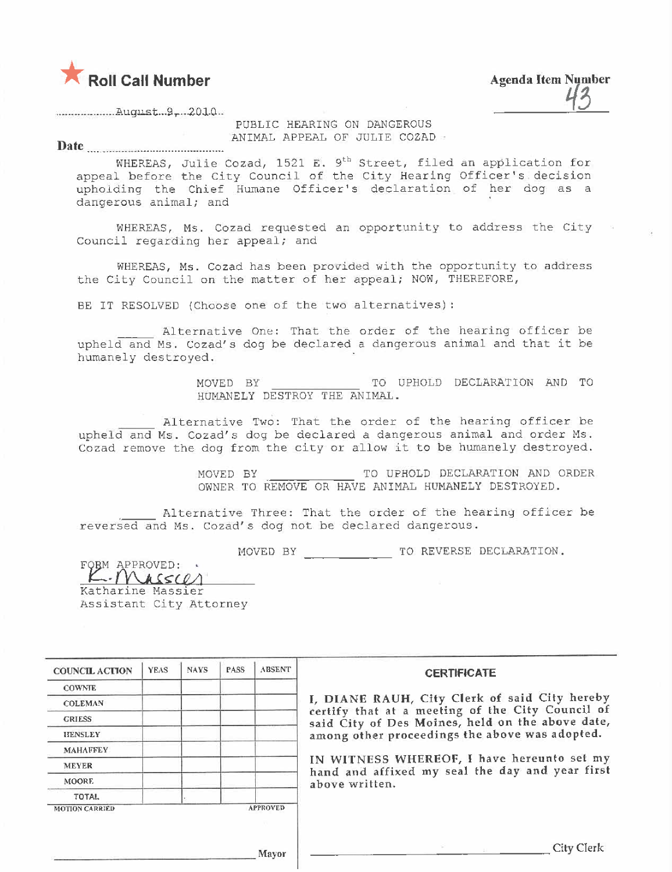

**Agenda Item Number** 

PUBLIC HEARING ON DANGEROUS ANIMAL APPEAL OF JULIE COZAD =

Date

WHEREAS, Julie Cozad, 1521 E. 9<sup>th</sup> Street, filed an application for appeal before the City Council of the City Hearing Officer's decision upholding the Chief Humane Officer's declaration of her dog as a dangerous animal; and

WHEREAS, Ms. Cozad requested an opportunity to address the City Council regarding her appeal; and

WHEREAS, Ms. Cozad has been provided with the opportunity to address the City Council on the matter of her appeal; NOW, THEREFORE,

BE IT RESOLVED (Choose one of the two alternatives):

Alternative One: That the order of the hearing officer be upheld and Ms. Cozad's dog be declared a dangerous animal and that it be humanely destroyed.

> MOVED BY TO UPHOLD DECLARATION AND TO HUMANELY DESTROY THE ANIMAL.

Alternative Two: That the order of the hearing officer be upheld and Ms. Cozad's dog be declared a dangerous animal and order Ms. Cozad remove the dog from the city or allow it to be humanely destroyed.

> MOVED BY TO UPHOLD DECLARATION AND ORDER OWNER TO REMOVE OR HAVE ANIMAL HUMANELY DESTROYED.

Alternative Three: That the order of the hearing officer be reversed and Ms. Cozad's dog not be declared dangerous.

FORM APPROVED: \* K. Massier Katharine Massier Assistant City Attorney

| <b>COUNCIL ACTION</b> | <b>YEAS</b> | <b>NAYS</b> | <b>PASS</b> | <b>ABSENT</b>   | <b>CERTIFICATE</b>                                                                                   |
|-----------------------|-------------|-------------|-------------|-----------------|------------------------------------------------------------------------------------------------------|
| <b>COWNTE</b>         |             |             |             |                 |                                                                                                      |
| <b>COLEMAN</b>        |             |             |             |                 | I, DIANE RAUH, City Clerk of said City hereby                                                        |
| <b>GRIESS</b>         |             |             |             |                 | certify that at a meeting of the City Council of<br>said City of Des Moines, held on the above date, |
| <b>HENSLEY</b>        |             |             |             |                 | among other proceedings the above was adopted.                                                       |
| <b>MAHAFFEY</b>       |             |             |             |                 |                                                                                                      |
| <b>MEYER</b>          |             |             |             |                 | IN WITNESS WHEREOF, I have hereunto set my<br>hand and affixed my seal the day and year first        |
| <b>MOORE</b>          |             |             |             |                 | above written.                                                                                       |
| <b>TOTAL</b>          |             |             |             |                 |                                                                                                      |
| <b>MOTION CARRIED</b> |             |             |             | <b>APPROVED</b> |                                                                                                      |
|                       |             |             |             | Mayor           | City Clerk                                                                                           |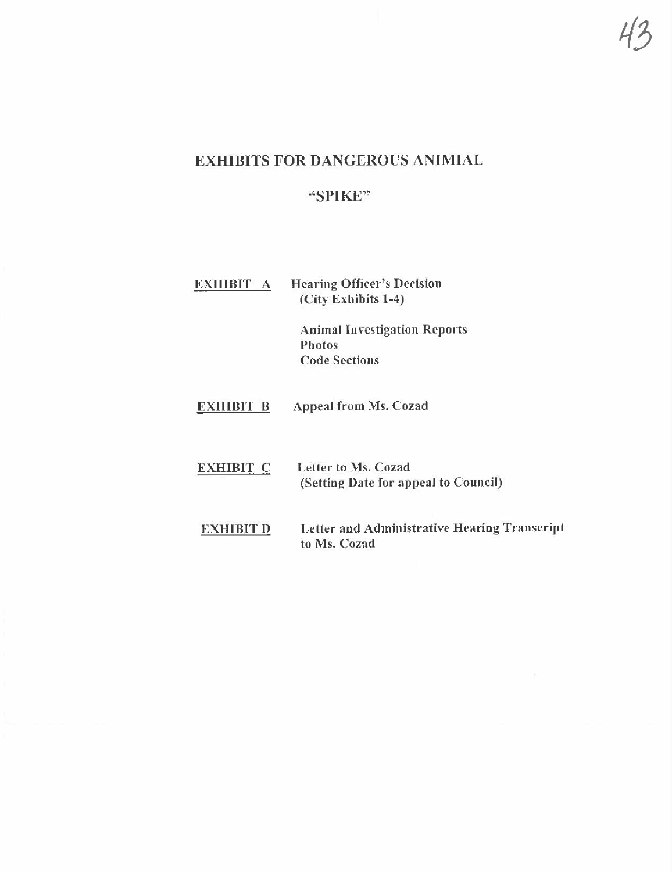## **EXHIBITS FOR DANGEROUS ANIMIAL**

# "SPIKE"

| EXIIIBIT A       | <b>Hearing Officer's Decision</b><br>(City Exhibits 1-4)                     |
|------------------|------------------------------------------------------------------------------|
|                  | <b>Animal Investigation Reports</b><br><b>Photos</b><br><b>Code Sections</b> |
| <b>EXHIBIT B</b> | Appeal from Ms. Cozad                                                        |
| <b>EXHIBIT C</b> | Letter to Ms. Cozad<br>(Setting Date for appeal to Council)                  |
| EXHIBIT D        | Letter and Administrative Hearing Transcript                                 |

to Ms. Cozad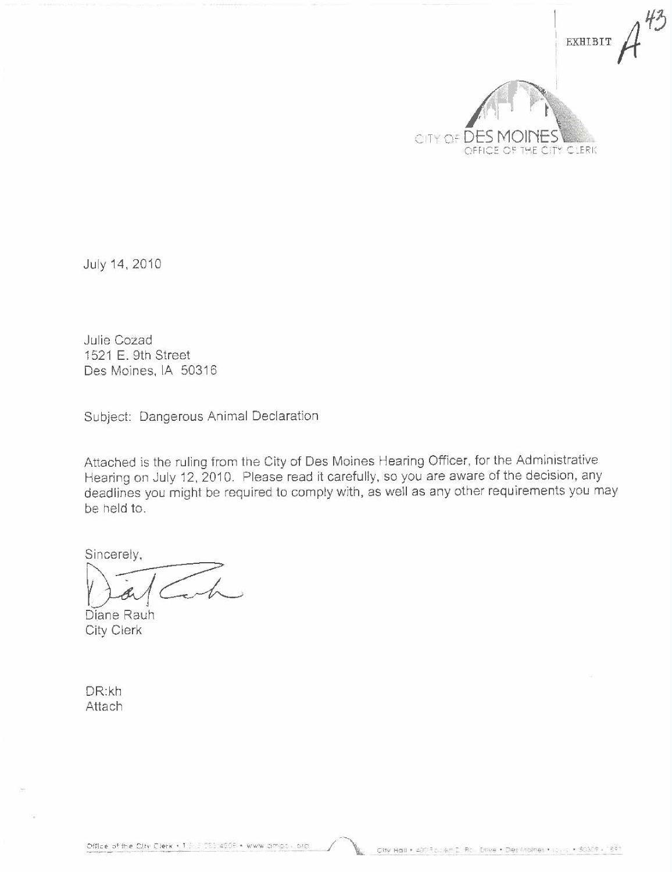

July 14, 2010

Julie Cozad 1521 E. 9th Street Des Moines, IA 50316

Subject: Dangerous Animal Declaration

Attached is the ruling from the City of Des Moines Hearing Officer, for the Administrative Hearing on July 12, 2010. Please read it carefully, so you are aware of the decision, any deadlines you might be required to comply with, as well as any other requirements you may be held to.

Sincerely,

Diane Rauh City Clerk

DR:kh Attach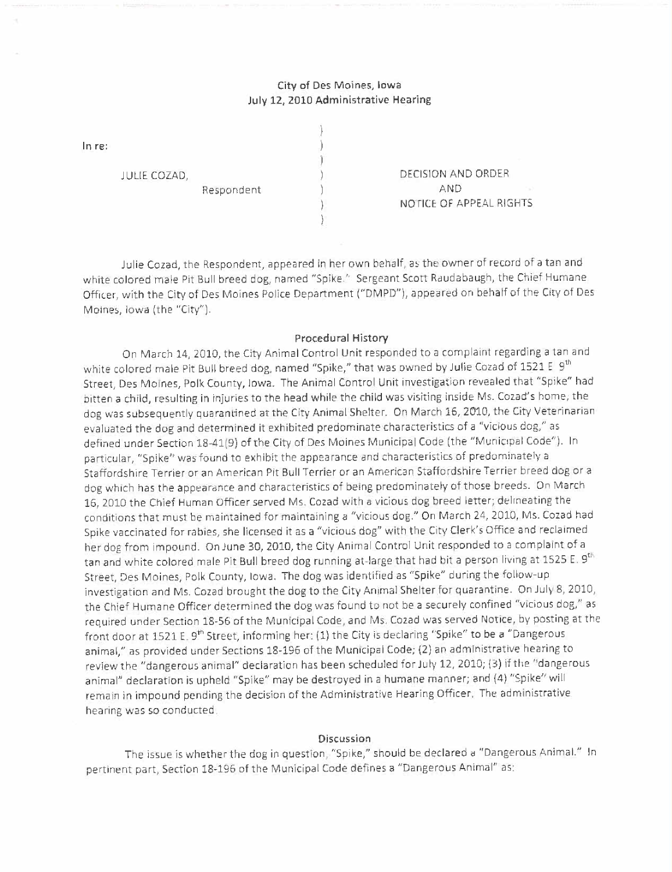## City of Des Moines, Iowa July 12, 2010 Administrative Hearing

In re:

JULIE COZAD,

Respondent

DECISION AND ORDER AND NOTICE OF APPEAL RIGHTS

Julie Cozad, the Respondent, appeared in her own behalf, as the owner of record of a tan and white colored male Pit Bull breed dog, named "Spike." Sergeant Scott Raudabaugh, the Chief Humane Officer, with the City of Des Moines Police Department ("DMPD"), appeared on behalf of the City of Des Moines, Iowa (the "City").

#### Procedural History

On March 14, 2010, the City Animal Control Unit responded to a complaint regarding a tan and white colored male Pit Bull breed dog, named "Spike," that was owned by Julie Cozad of 1521 E 9<sup>th</sup> Street, Des Moines, Polk County, Iowa. The Animal Control Unit investigation revealed that "Spike" had bitten a child, resulting in injuries to the head while the child was visiting inside Ms. Cozad's home; the dog was subsequently quarantined at the City Animal Shelter. On March 16, 2010, the City Veterinarian evaluated the dog and determined it exhibited predominate characteristics of a "vicious dog," as defined under Section 18-41(9) ofthe City of Des Moines Municipal Code (the "Municipal Code"). In particular, "Spike" was found to exhibit the appearance and characteristics of predominately a Staffordshire Terrier or an American Pit Bull Terrier or an American Staffordshire Terrier breed dog or a dog which has the appearance and characteristics of being predominately of those breeds. On March 16,2010 the Chief Human Officer served Ms, Cozad with a vicious dog breed letter; delineating the conditions that must be maintained for maintaining a "vicious dog." On March 24, 2010, Ms. Cozad had Spike vaccinated for rabies, she licensed it as a "vicious dog" with the City Clerk's Office and reclaimed her dog from impound. On June 30, 2010, the City Animal Control Unit responded to a complaint of a tan and white colored male Pit Bull breed dog running at-large that had bit a person living at 1525 E. 9<sup>th</sup> Street, Des Moines, Polk County, Iowa. The dog was identified as "Spike" during the follow-up investigation and Ms. Cozad brought the dog to the City Animal Shelter for quarantine. On July 8, 2010, the Chief Humane Officer determined the dog was found to not be a securely confined "vicious dog," as required under Section 18-56 of the Municipal Code, and Ms. Cozad was served Notice, by posting at the front door at 1521 E. 9<sup>th</sup> Street, informing her: (1) the City is declaring "Spike" to be a "Dangerous animal," as provided under Sections 18-196 of the Municipal Code; (2) an administrative hearing to review the "dangerous animal" declaration has been scheduled for July 12, 2010; (3) if the "dangerous animal" declaration is upheld "Spike" may be destroyed in a humane manner; and (4) "Spike" will remain in impound pending the decision of the Administrative Hearing Officer. The administrative hearing was so conducted.

#### Discussion

The issue is whether the dog in question, "Spike," should be declared a "Dangerous AnimaL" In pertinent part, Section 18-196 of the Municipal Code defines a "Dangerous Animal" as: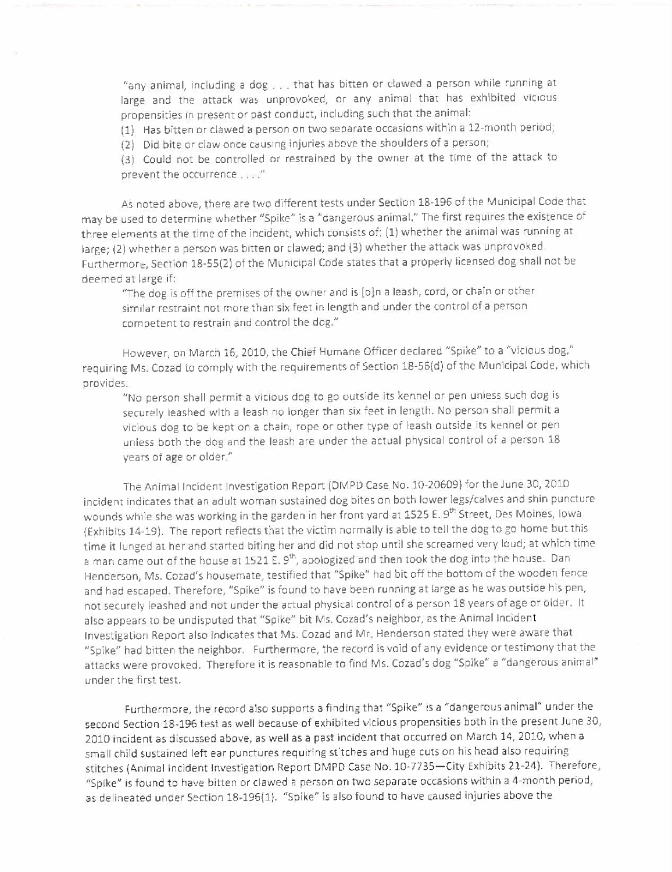"any animal, including a dog. . . that has bitten or clawed a person while running at large and the attack was unprovoked, or any animal that has exhibited vicious propensities in present or past conduct, including such that the animal.

(1) Has bitten or clawed a person on two separate occasions within a l1-month period;

(2) Did bite or claw once causing injuries above the shoulders of a person;

(3) Could not be controlled or restrained by the owner at the time of the attack to prevent the occurrence....."

As noted above, there are two different tests under Section 18-196 of the Municipal Code that may be used to determine whether "Spike" Îs a "dangerous animaL" The first requires the existence of three elements at the time of the incident, which consists of: (1) whether the animal was running at large; (2) whether a person was bitten or clawed; and (3) whether the attack was unprovoked. Furthermore, Section 18-55(2) of the Municipal Code states that a properly licensed dog shall not be deemed at large if:

"The dog is off the premises of the owner and is lojn a leash, cord, or chain or other similar restraint not more than six feet in length and under the control of a person competent to restrain and control the dog."

However, on March 16, 2010, the Chief Humane Officer declared "Spike" to a "vicious dog," requiring Ms. Cozad to comply with the requirements of Section 18-S6(d) ofthe Municipal Code, which provides:

"No person shall permit a vicious dog to go outside its kennel or pen unless such dog is securely leashed with a leash no longer than six feet in length. No person shall permit a vicious dog to be kept on a chain, rope or other type of leash outside its kennel or pen unless both the dog and the leash are under the actual physical control of a person 18 years of age or older."

The Animal Incident Investigation Report (DMPD Case No. 10-20609) for the June 30, 2010 incident indicates that an adult woman sustained dog bites on both lower legs/calves and shin puncture wounds while she was working in the garden in her front yard at 1525 E. 9<sup>th</sup> Street, Des Moines, Iowa (Exhibits 14-19). The report reflects that the victim normally is able to tell the dog to go home but this time it lunged at her and started biting her and did not stop until she screamed very loud; at which time a man came out of the house at 1521 E. 9<sup>th</sup>, apologized and then took the dog into the house. Dan Henderson, Ms. Cozad's housemate, testified that "Spike" had bit off the bottom of the wooden fence and had escaped. Therefore, "Spike" is found to have been running at large as he was outside his pen, not securely leashed and not under the actual physical control of a person 18 years of age or older. It also appears to be undisputed that "Spike" bit Ms, Cozad's neighbor, as the Animal Incident Investigation Report also indicates that Ms. Cozad and Mr. Henderson stated they were aware that "Spike" had bitten the neighbor. Furthermore, the record is void of any evidence or testimony that the attacks were provoked. Therefore it is reasonable to find Ms. Cozad's dog "Spike" a "dangerous animal" under the first test.

Furthermore, the record also supports a finding that "Spike" is a "dangerous animal" under the second Section 18-195 test as well because of exhibited vicious propensities both in the present June 30, 2010 incident as discussed above, as well as a past incident that occurred on March 14, 2010, when a small child sustained left ear punctures requiring stitches and huge cuts on his head also requiring stitches (Animal Incident Investigation Report DMPD Case No. 10-773S-City Exhibits 21-24). Therefore, "Spike" is found to have bitten or clawed a person on two separate occasions within a 4-month period, as delineated under Section 18-196(1). "Spike" is also found to have caused injuries above the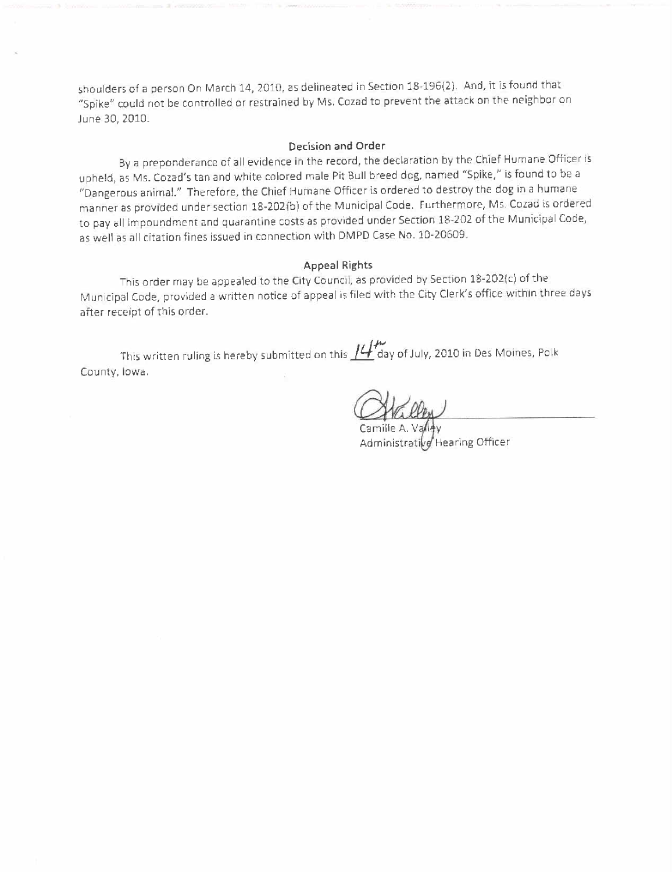shoulders of a person On March 14, 2010, as delineated in Section 1B~196(2), And, it is found that "Spike" could not be controlled or restrained by Ms. Cozad to prevent the attack on the neighbor on June 3D, 2010.

#### Decision and Order

Bya preponderance of all evidence in the record, the declaration by the Chief Humane Officer is upheld, as Ms. Cozad's tan and white colored male Pit Bull breed dog, named "Spike," is found to be a "Dangerous animaL." Therefore, the Chief Humane Officer is ordered to destroy the dog in a humane manner as provided under section 18-202(b) of the Municipal Code, Furthermore, Ms. Cozad is ordered to pay all impoundment and quarantine costs as provided under Section 18-202 of the Municipal Code, as well as all citation fines issued in connection with DMPD Case No. 10-20609.

### Appeal Rights

This order may be appealed to the City Council, as provided by Section 18-202(c) ofthe Municipal Code, provided a written notice of appeal is filed with the City Clerk's office within three days after receipt of this order.

This written ruling is hereby submitted on this  $I\mathcal{L}$  day of July, 2010 in Des Moines, Polk County, Iowa.

Administrative Hearing Officer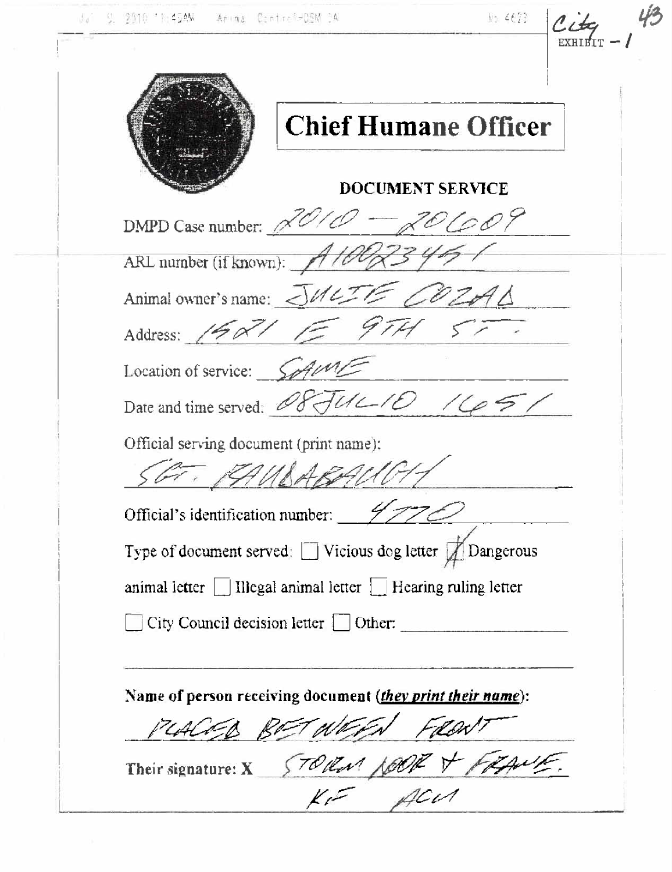|  | SE 2010 11:45AM |  | Anima Control-DSM 04 |
|--|-----------------|--|----------------------|
|  |                 |  |                      |

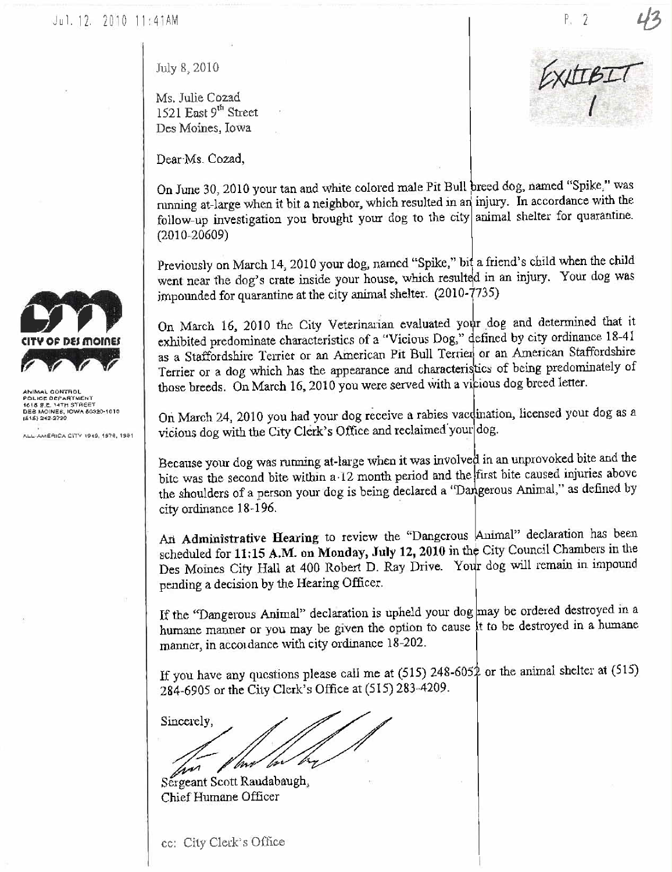CONTRO POLICE DEPARTMENT<br>1618 B.E. 14TH STREET

DEB MOINES, IOWA 50320-1010

ALL-AMERICA CITY 1949, 1976, 1981

July 8, 2010

Ms. Julie Cozad 1521 East 9th Street Des Moines, Iowa

Dear Ms. Cozad,

On June 30, 2010 your tan and white colored male Pit Bull breed dog, named "Spike," was running at-large when it bit a neighbor, which resulted in an injury. In accordance with the follow-up investigation you brought your dog to the city animal shelter for quarantine.  $(2010 - 20609)$ 

Previously on March 14, 2010 your dog, named "Spike," bit a friend's child when the child went near the dog's crate inside your house, which resulted in an injury. Your dog was impounded for quarantine at the city animal shelter. (2010-7735)

On March 16, 2010 the City Veterinarian evaluated your dog and determined that it exhibited predominate characteristics of a "Vicious Dog," defined by city ordinance 18-41 as a Staffordshire Terrier or an American Pit Bull Terrier or an American Staffordshire Terrier or a dog which has the appearance and characteristics of being predominately of those breeds. On March 16, 2010 you were served with a vicious dog breed letter.

On March 24, 2010 you had your dog receive a rabies vacdination, licensed your dog as a vicious dog with the City Clerk's Office and reclaimed your dog.

Because your dog was running at-large when it was involved in an unprovoked bite and the bite was the second bite within a 12 month period and the first bite caused injuries above the shoulders of a person your dog is being declared a "Dangerous Animal," as defined by city ordinance 18-196.

An Administrative Hearing to review the "Dangerous Animal" declaration has been scheduled for 11:15 A.M. on Monday, July 12, 2010 in the City Council Chambers in the Des Moines City Hall at 400 Robert D. Ray Drive. Your dog will remain in impound pending a decision by the Hearing Officer.

If the "Dangerous Animal" declaration is upheld your dog may be ordered destroyed in a humane manner or you may be given the option to cause it to be destroyed in a humane manner, in accordance with city ordinance 18-202.

If you have any questions please call me at  $(515)$  248-6052 or the animal shelter at  $(515)$ 284-6905 or the City Clerk's Office at (515) 283-4209.

Sincerely,

Sergeant Scott Raudabaugh, Chief Humane Officer

cc: City Clerk's Office